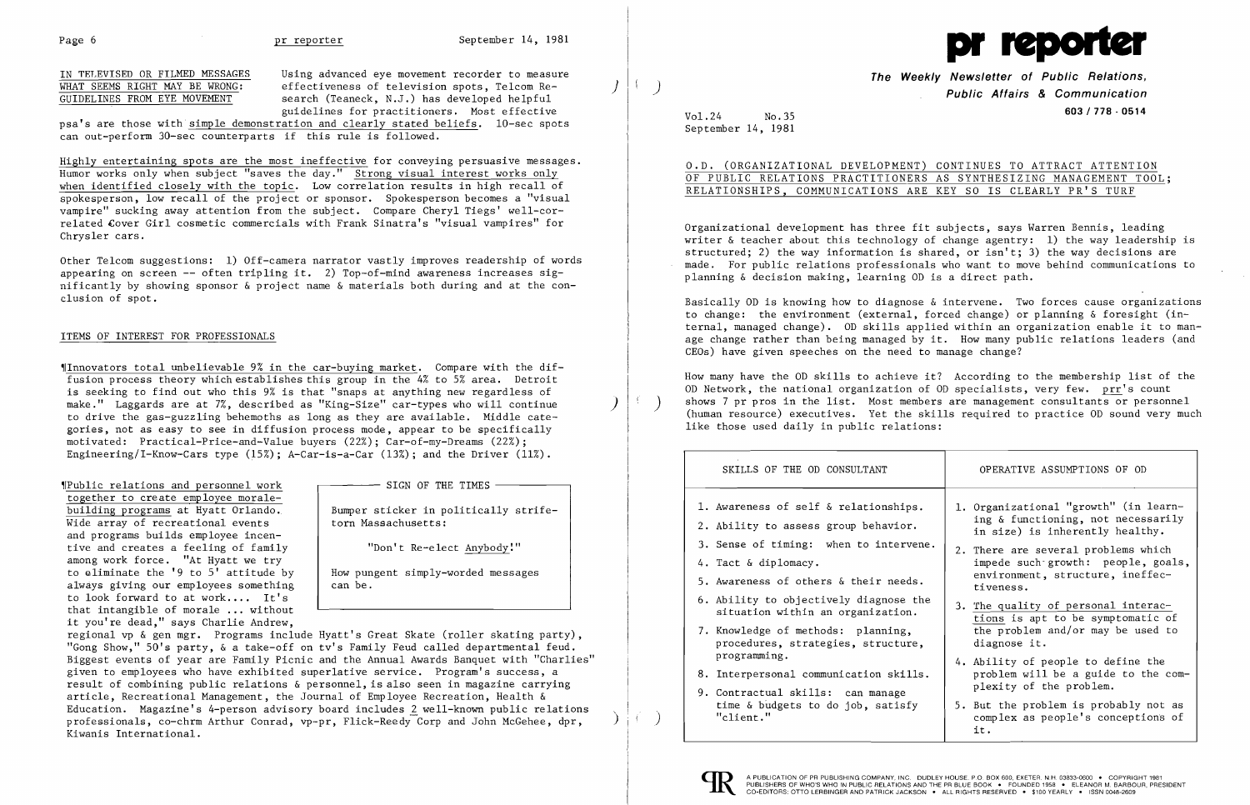IN TELEVISED OR FILMED MESSAGES WHAT SEEMS RIGHT MAY BE WRONG: GUIDELINES FROM EYE MOVEMENT

psa's are those with simple demonstration and clearly stated beliefs. 10-sec spots can out-perform 30-sec counterparts if this rule is followed.

Using advanced eye movement recorder to measure effectiveness of television spots, Telcom Research (Teaneck, N.J.) has developed helpful guidelines for practitioners. Most effective

)

Highly entertaining spots are the most ineffective for conveying persuasive messages. Humor works only when subject "saves the day." Strong visual interest works only when identified closely with the topic. Low correlation results in high recall of spokesperson, low recall of the project or sponsor. Spokesperson becomes a "visual vampire" sucking away attention from the subject. Compare Cheryl Tiegs' well-correlated Cover Girl cosmetic commercials with Frank Sinatra's "visual vampires" for Chrysler cars.

Other Telcom suggestions: 1) Off-camera narrator vastly improves readership of words appearing on screen  $--$  often tripling it. 2) Top-of-mind awareness increases significantly by showing sponsor  $\&$  project name  $\&$  materials both during and at the conclusion of spot.

### ITEMS OF INTEREST FOR PROFESSIONALS

~IInnovators total unbelievable 9% in the car-buying market. Compare with the diffusion process theory which establishes this group in the 4% to 5% area. Detroit is seeking to find out who this 9% is that "snaps at anything new regardless of make." Laggards are at 7%, described as "King-Size" car-types who will continue to drive the gas-guzzling behemoths as long as they are available. Middle categories, not as easy to see in diffusion process mode, appear to be specifically motivated: Practical-Price-and-Value buyers (22%); Car-of-my-Dreams (22%); Engineering/I-Know-Cars type (15%); A-Car-is-a-Car (13%); and the Driver (11%).

)

Bumper sticker in politically strife torn Massachusetts:

together to create employee morale building programs at Hyatt Orlando. ~IPublic relations and personnel work Wide array of recreational events and programs builds employee incen tive and creates a feeling of family among work force. "At Hyatt we try to eliminate the '9 to 5' attitude by always giving our employees something to look forward to at work.... It's Ì, that intangible of morale  $\ldots$  without it you're dead," says Charlie Andrew,

 $-$  SIGN OF THE TIMES

"Don't Re-elect Anybody:"

 How pungent simply-worded messages can be.

regional vp & gen mgr. Programs include Hyatt's Great Skate (roller skating party), "Gong Show," 50's party, & a take-off on tv's Family Feud called departmental feud. Biggest events of year are Family Picnic and the Annual Awards Banquet with "Charlies" given to employees who have exhibited superlative service. Program's success, a result of combining public relations & personnel, is also seen in magazine carrying article, Recreational Management, the Journal of Employee Recreation, Health & Education. Magazine's 4-person advisory board includes *1* well-known public relations professionals, co-chrm Arthur Conrad, vp-pr, Flick-Reedy Corp and John McGehee, dpr, Kiwanis International.

)

)



**The Weekly Newsletter of Public Relations, Public Affairs & Communication 603/778 - <sup>0514</sup>** Vol.24 No.3s

| CONTINUES TO ATTRACT ATTENTION   |  |  |  |  |  |  |  |  |  |
|----------------------------------|--|--|--|--|--|--|--|--|--|
| AS SYNTHESIZING MANAGEMENT TOOL; |  |  |  |  |  |  |  |  |  |
| I KEY SO IS CLEARLY PR'S TURF    |  |  |  |  |  |  |  |  |  |

September 14, 1981

O.D. (ORGANIZATIONAL DEVELOPMENT) OF PUBLIC RELATIONS PRACTITIONERS RELATIONSHIPS, COMMUNICATIONS ARE

Organizational development has three fit subjects, says Warren Bennis, leading writer & teacher about this technology of change agentry: 1) the way leadership is structured; 2) the way information is shared, or isn't; 3) the way decisions are made. For public relations professionals who want to move behind communications to planning & decision making, learning OD is a direct path.

Basically OD is knowing how to diagnose & intervene. Two forces cause organizations to change: the environment (external, forced change) or planning & foresight (internal, managed change). OD skills applied within an organization enable it to manage change rather than being managed by it. How many public relations leaders (and CEOs) have given speeches on the need to manage change?

How many have the OD skills to achieve it? According to the membership list of the OD Network, the national organization of OD specialists, very few. prr's count shows 7 pr pros in the list. Most members are management consultants or personnel (human resource) executives. Yet the skills required to practice OD sound very much like those used daily in public relations:

### SKILLS OF THE OD CONSULTANT

- 1. Awareness of self & relationships.
- 2. Ability to assess group behavior.
- 3. Sense of timing: when to intervene
- 4. Tact & diplomacy.
- 5. Awareness of others  $\&$  their needs.
- 6. Ability to objectively diagnose the 3. Situation within an organization.
- 7. Knowledge of methods: planning, procedures, strategies, structure, programming.
- 8. Interpersonal communication skills.
- 9. Contractual skills: can manage time & budgets to do job, satisfy "client."



| SKILLS OF THE OD CONSULTANT                                                                                                                                                                                                                                                                                                                                                           | OPERATIVE ASSUMPTIONS OF OD                                                                                                                                                                                                                                                                                                                                                                                                                                |
|---------------------------------------------------------------------------------------------------------------------------------------------------------------------------------------------------------------------------------------------------------------------------------------------------------------------------------------------------------------------------------------|------------------------------------------------------------------------------------------------------------------------------------------------------------------------------------------------------------------------------------------------------------------------------------------------------------------------------------------------------------------------------------------------------------------------------------------------------------|
| Awareness of self & relationships.<br>Ability to assess group behavior.<br>Sense of timing: when to intervene.<br>Tact & diplomacy.<br>Awareness of others & their needs.<br>Ability to objectively diagnose the<br>situation within an organization.<br>Knowledge of methods: planning,<br>procedures, strategies, structure,<br>programming.<br>Interpersonal communication skills. | 1. Organizational "growth" (in learn-<br>ing & functioning, not necessarily<br>in size) is inherently healthy.<br>2. There are several problems which<br>impede such growth: people, goals,<br>environment, structure, ineffec-<br>tiveness.<br>3. The quality of personal interac-<br>tions is apt to be symptomatic of<br>the problem and/or may be used to<br>diagnose it.<br>4. Ability of people to define the<br>problem will be a guide to the com- |
| Contractual skills: can manage<br>time & budgets to do job, satisfy<br>"client."                                                                                                                                                                                                                                                                                                      | plexity of the problem.<br>5. But the problem is probably not as<br>complex as people's conceptions of<br>it.                                                                                                                                                                                                                                                                                                                                              |

)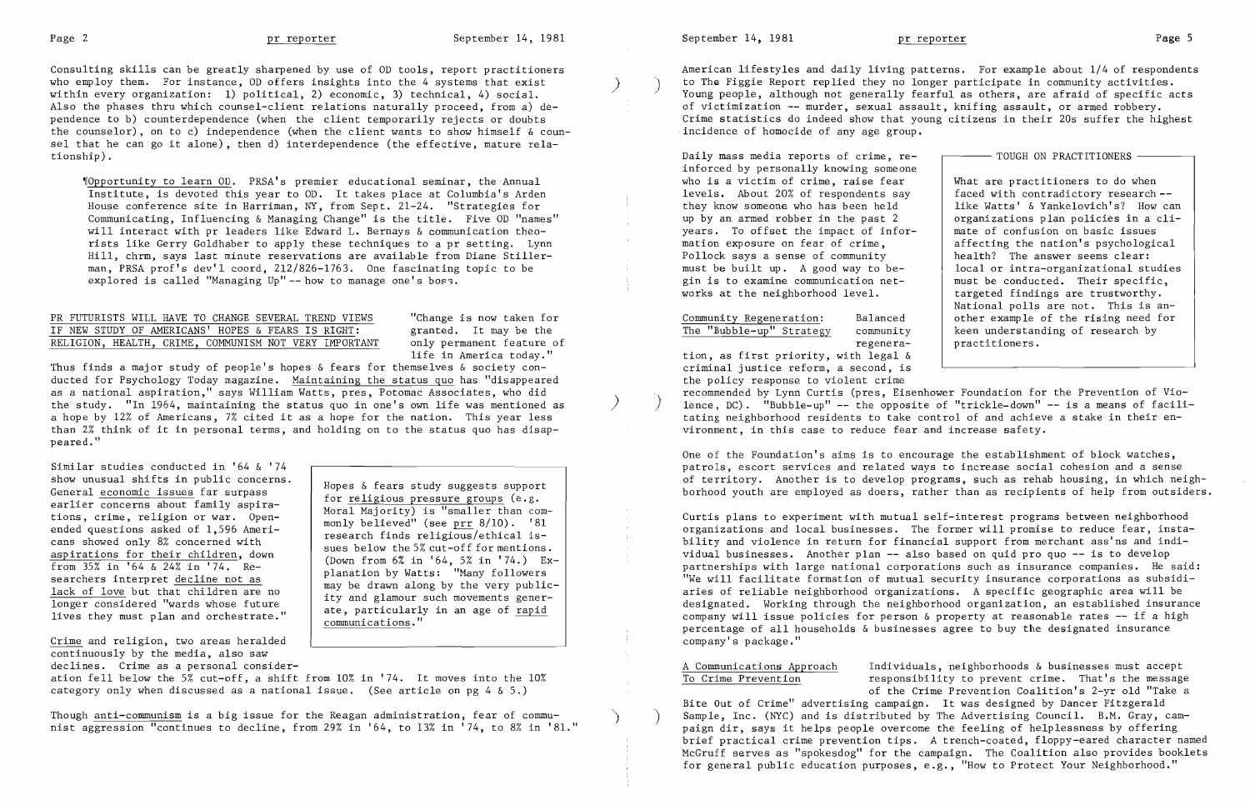Consulting skills can be greatly sharpened by use of OD tools, report practitioners who employ them. For instance, OD offers insights into the 4 systems that exist within every organization: 1) political, 2) economic, 3) technical, 4) social. Also the phases thru which counsel-client relations naturally proceed, from a) dependence to b) counterdependence (when the client temporarily rejects or doubts the counselor), on to c) independence (when the client wants to show himself  $\&$  counsel that he can go it alone), then d) interdependence (the effective, mature relationship).

~rOpportunity to learn OD. PRSA' s premier educational seminar, the Annual Institute, is devoted this year to OD. It takes place at Columbia's Arden House conference site in Harriman, NY, from Sept. 21-24. "Strategies for Communicating, Influencing & Managing Change" is the title. Five OD "names" will interact with pr leaders like Edward L. Bernays & communication theorists like Gerry Goldhaber to apply these techniques to a pr setting. Lynn Hill, chrm, says last minute reservations are available from Diane Stillerman, PRSA prof's dev'l coord, 212/826-1763. One fascinating topic to be explored is called "Managing Up" -- how to manage one's boss.

### PR FUTURISTS WILL HAVE TO CHANGE SEVERAL TREND VIEWS TEND TRIMBLE is now taken for the the service of the service of the the the the the service of  $\overline{I}$  and  $\overline{I}$  and  $\overline{I}$  and  $\overline{I}$  and  $\overline{I}$  and  $\overline{I}$  IF NEW STUDY OF AMERICANS' HOPES & FEARS IS RIGHT: granted. It may be the RELIGION, HEALTH, CRIME, COMMUNISM NOT VERY IMPORTANT only permanent feature of RELIGION, HEALTH, CRIME, COMMUNISM NOT VERY IMPORTANT

life in America today."

ation fell below the 5% cut-off, a shift from 10% in '74. It moves into the 10% category only when discussed as a national issue. (See article on pg 4 & 5.)

Though <u>anti-communism</u> is a big issue for the Reagan administration, fear of commu<sup>.</sup> nist aggression "continues to decline, from 29% in '64, to 13% in '74, to 8% in '81." September 14, 1981 **pr reporter** and present provided by Page 5

Thus finds a major study of people's hopes & fears for themselves & society conducted for Psychology Today magazine. Maintaining the status quo has "disappeared as a national aspiration," says William Watts, pres, Potomac Associates, who did the study. "In 1964, maintaining the status quo in one's own life was mentioned as a hope by 12% of Americans, 7% cited it as a hope for the nation. This year less than 2% think of it in personal terms, and holding on to the status quo has disappeared."

Similar studies conducted in '64 & '74 show unusual shifts in public concerns. General economic issues far surpass earlier concerns about family aspirations, crime, religion or war. Openended questions asked of 1,596 Americans showed only 8% concerned with aspirations for their children, down from 35% in '64 & 24% in '74. Researchers interpret decline not as lack of love but that children are no longer considered "wards whose future lives they must plan and orchestrate."

Crime and religion, two areas heralded continuously by the media, also saw declines. Crime as a personal considerOne of the Foundation's aims is to encourage the establishment of block watches, patrols, escort services and related ways to increase social cohesion and a sense of territory. Another is to develop programs, such as rehab housing, in which neighborhood youth are employed as doers, rather than as recipients of help from outsiders.

Hopes & fears study suggests support for religious pressure groups (e.g. Moral Majority) is "smaller than commonly believed" (see  $\text{prr} 8/10$ ). '81 research finds religious/ethical issues below the 5% cut-off for mentions. (Down from 6% in '64, 5% in '74.) Explanation by Watts: "Many followers may be drawn along by the very publicity and glamour such movements generate, particularly in an age of rapid communications."

American lifestyles and daily living patterns. For example about 1/4 of respondents to The Figgie Report replied they no longer participate in community activities.<br>Young people, although not generally fearful as others, are afraid of specific acts of victimization -- murder, sexual assault, knifing assault, or armed robbery. Crime statistics do indeed show that young citizens in their 20s suffer the highest incidence of homocide of any age group.

Daily mass media reports of crime, reinforced by personally knowing someone who is a victim of crime, raise fear levels. About 20% of respondents say they know someone who has been held up by an armed robber in the past 2 years. To offset the impact of information exposure on fear of crime, Pollock says a sense of community must be built up. A good way to begin is to examine communication networks at the neighborhood level.

# Community Regeneration: Balanced The "Bubble-up" Strategy community

regenera-

What are practitioners to do when faced with contradictory research like Watts' & Yankelovich's? How can organizations plan policies in a climate of confusion on basic issues affecting the nation's psychological health? The answer seems clear: local or intra-organizational studies must be conducted. Their specific, targeted findings are trustworthy. National polls are not. This is another example of the rising need for keen understanding of research by practitioners.

tion, as first priority, with legal & criminal justice reform, a second, is the policy response to violent crime recommended by Lynn Curtis (pres, Eisenhower Foundation for the Prevention of Vio lence,  $DC$ ). "Bubble-up" -- the opposite of "trickle-down" -- is a means of facilitating neighborhood residents to take control of and achieve a stake in their environment, in this case to reduce fear and increase safety.

Curtis plans to experiment with mutual self-interest programs between neighborhood organizations and local businesses. The former will promise to reduce fear, instability and violence in return for financial support from merchant ass'ns and individual businesses. Another plan -- also based on quid pro quo -- is to develop partnerships with large national corporations such as insurance companies. He said: "We will facilitate formation of mutual security insurance corporations as subsidiaries of reliable neighborhood organizations. A specific geographic area will be designated. Working through the neighborhood organization, an established insurance company will issue policies for person  $\&$  property at reasonable rates  $-$ - if a high percentage of all households & businesses agree to buy the designated insurance company's package."

# To Crime Prevention

A Communications Approach Individuals, neighborhoods & businesses must accept responsibility to prevent crime. That's the message of the Crime Prevention Coalition's 2-yr old "Take a Bite Out of Crime" advertising campaign. It was designed by Dancer Fitzgerald Sample, Inc. (NYC) and is distributed by The Advertising Council. B.M. Gray, campaign dir, says it helps people overcome the feeling of helplessness by offering brief practical crime prevention tips. A trench-coated, floppy-eared character named McGruff serves as "spokesdog" for the campaign. The Coalition also provides booklets for general public education purposes, e.g., "How to Protect Your Neighborhood."

### $-$  TOUGH ON PRACTITIONERS  $-$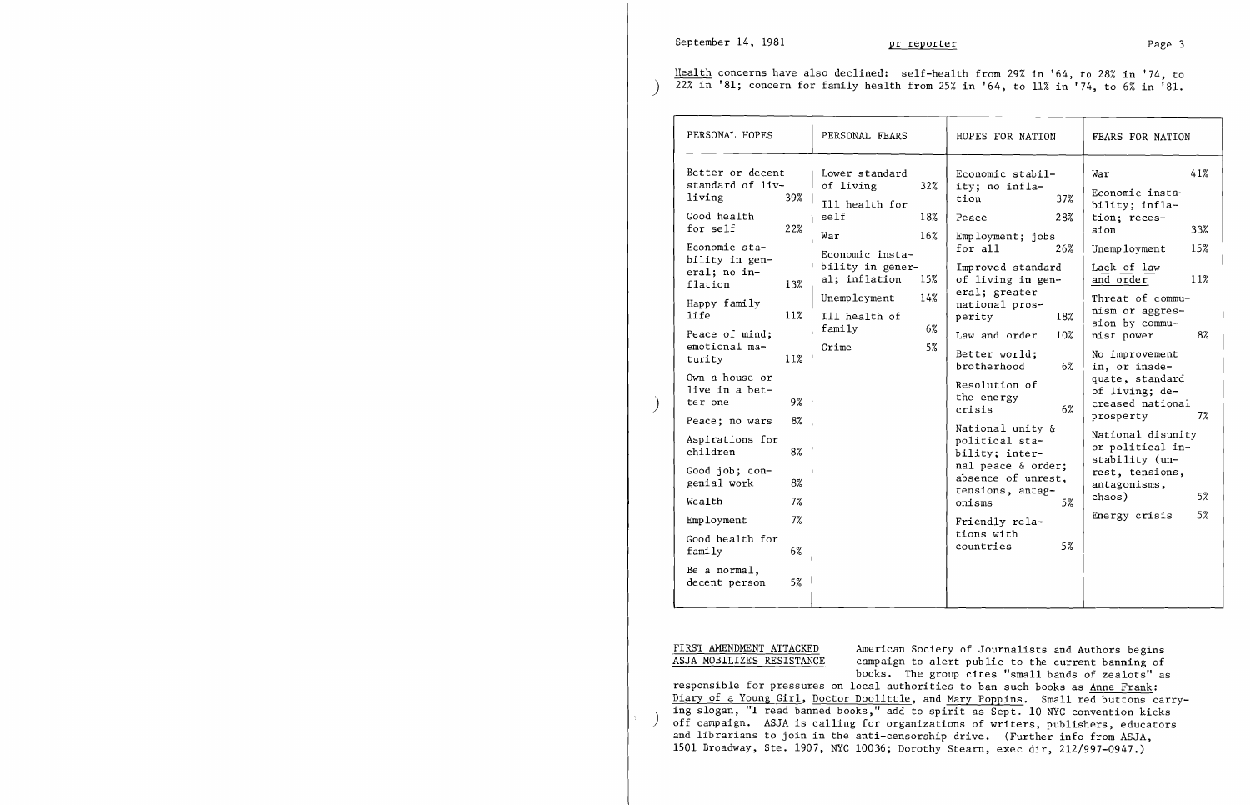Health concerns have also declined: self-health from 29% in '64, to 28% in '74, to  $\frac{1}{22\% \text{ in}}$  '81; concern for family health from 25% in '64, to 11% in '74, to 6% in '81.

| PERSONAL HOPES                                                                                                                                                                                                                                                                                                                                                                                                                                                                                                                | PERSONAL FEARS                                                                                                                                                                                                                | HOPES FOR NATION                                                                                                                                                                                                                                                                                                                                                                                                                                                                                                     | FEARS FOR NATION                                                                                                                                                                                                                                                                                                                                                                                                                                                          |  |  |
|-------------------------------------------------------------------------------------------------------------------------------------------------------------------------------------------------------------------------------------------------------------------------------------------------------------------------------------------------------------------------------------------------------------------------------------------------------------------------------------------------------------------------------|-------------------------------------------------------------------------------------------------------------------------------------------------------------------------------------------------------------------------------|----------------------------------------------------------------------------------------------------------------------------------------------------------------------------------------------------------------------------------------------------------------------------------------------------------------------------------------------------------------------------------------------------------------------------------------------------------------------------------------------------------------------|---------------------------------------------------------------------------------------------------------------------------------------------------------------------------------------------------------------------------------------------------------------------------------------------------------------------------------------------------------------------------------------------------------------------------------------------------------------------------|--|--|
| Better or decent<br>standard of liv-<br>living<br>39%<br>Good health<br>for self<br>22%<br>Economic sta-<br>bility in gen-<br>eral; no in-<br>flation<br>13%<br>Happy family<br><b>life</b><br>11%<br>Peace of mind;<br>emotional ma-<br>turity<br>11%<br>Own a house or<br>live in a bet-<br>9%<br>ter one<br>8%<br>Peace; no wars<br>Aspirations for<br>children<br>8%<br>Good job; con-<br>genial work<br>8%<br>7%<br>Wealth<br>7%<br>Employment<br>Good health for<br>family<br>6%<br>Be a normal,<br>5%<br>decent person | Lower standard<br>of living<br>32%<br>Ill health for<br>self<br>18%<br>16%<br>War<br>Economic insta-<br>bility in gener-<br>al; inflation<br>15%<br>14%<br>Unemployment<br>Ill health of<br>$f$ amily<br>$6\%$<br>Crime<br>5% | Economic stabil-<br>ity; no infla-<br>tion<br>37%<br>28%<br>Peace<br>$Emp\,1oyment; jobs$<br>for all<br>26%<br>Improved standard<br>of living in gen-<br>eral; greater<br>national pros-<br>18%<br>perity<br>Law and order<br>10%<br>Better world;<br>brotherhood<br>$6\%$<br>Resolution of<br>the energy<br>6%<br>crisis<br>National unity &<br>political sta-<br>bility; inter-<br>nal peace & order;<br>absence of unrest,<br>tensions, antag-<br>onisms<br>5%<br>Friendly rela-<br>tions with<br>5%<br>countries | 41%<br>War<br>Economic insta-<br>bility; infla-<br>tion; reces-<br>sion<br>33%<br>15%<br>Unemployment<br>Lack of law<br>11%<br>and order<br>Threat of commu-<br>nism or aggres-<br>sion by commu-<br>8%<br>nist power<br>No improvement<br>in, or inade-<br>quate, standard<br>of living; de-<br>creased national<br>7%<br>prosperty<br>National disunity<br>or political in-<br>stability (un-<br>rest, tensions,<br>antagonisms,<br>chaos)<br>5%<br>5%<br>Energy crisis |  |  |

FIRST AMENDMENT ATTACKED American Society of Journalists and Authors begins <br>ASJA MOBILIZES RESISTANCE campaign to alert public to the current banning of campaign to alert public to the current banning of books. The group cites "small bands of zealots" as responsible for pressures on local authorities to ban such books as Anne Frank: Diary of a Young Girl, Doctor Doolittle, and Mary Poppins. Small red buttons carrying slogan, "I read banned books," add to spirit as Sept. 10 NYC convention kicks off campaign. ASJA is calling for organizations of writers, publishers, educators and librarians to join in the anti-censorship drive. (Further info from ASJA, 1501 Broadway, Ste. 1907, NYC 10036; Dorothy Stearn, exec dir, 212/997-0947.)